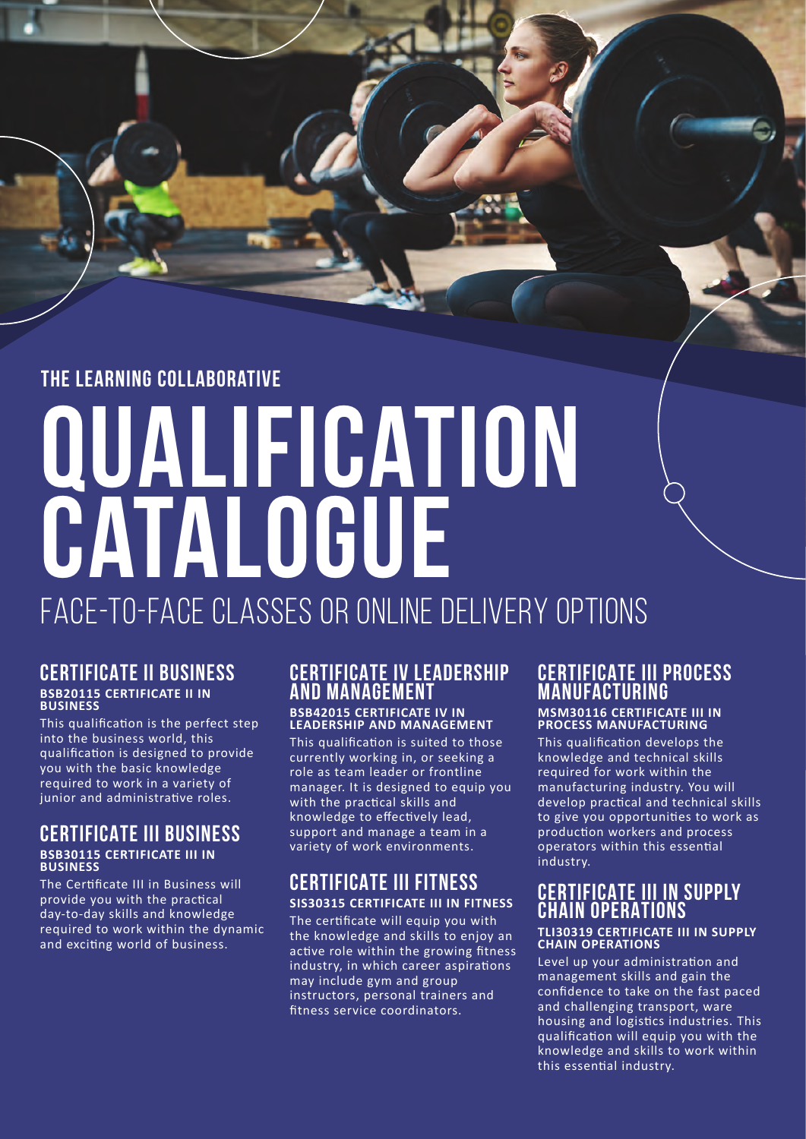## **the learning collaborative**

# **qualification catalogue** face-to-face classes or online delivery options

#### **CERTIFICATE II BUSINESS BSB20115 CERTIFICATE II IN BUSINESS**

This qualification is the perfect step into the business world, this qualification is designed to provide you with the basic knowledge required to work in a variety of junior and administrative roles.

#### **CERTIFICATE III BUSINESS BSB30115 CERTIFICATE III IN BUSINESS**

The Certificate III in Business will provide you with the practical day-to-day skills and knowledge required to work within the dynamic and exciting world of business.

## **CERTIFICATE IV LEADERSHIP AND MANAGEMENT**

#### **BSB42015 CERTIFICATE IV IN LEADERSHIP AND MANAGEMENT**

This qualification is suited to those currently working in, or seeking a role as team leader or frontline manager. It is designed to equip you with the practical skills and knowledge to effectively lead, support and manage a team in a variety of work environments.

### **CERTIFICATE III FITNESS SIS30315 CERTIFICATE III IN FITNESS**

The certificate will equip you with the knowledge and skills to enjoy an active role within the growing fitness industry, in which career aspirations may include gym and group instructors, personal trainers and fitness service coordinators.

#### **CERTIFICATE III PROCESS MANUFACTURING MSM30116 CERTIFICATE III IN**

**PROCESS MANUFACTURING** 

This qualification develops the knowledge and technical skills required for work within the manufacturing industry. You will develop practical and technical skills to give you opportunities to work as production workers and process operators within this essential industry.

## **CERTIFICATE III IN SUPPLY CHAIN OPERATIONS**

#### **TLI30319 CERTIFICATE III IN SUPPLY CHAIN OPERATIONS**

Level up your administration and management skills and gain the confidence to take on the fast paced and challenging transport, ware housing and logistics industries. This qualification will equip you with the knowledge and skills to work within this essential industry.